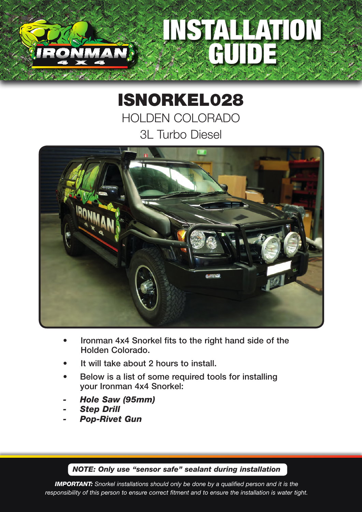## INSTALLATION GUIDE

## ISNORKEL028 HOLDEN COLORADO 3L Turbo Diesel



- Ironman 4x4 Snorkel fits to the right hand side of the Holden Colorado.
- It will take about 2 hours to install.
- Below is a list of some required tools for installing your Ironman 4x4 Snorkel:
- *- Hole Saw (95mm)*
- *- Step Drill*
- *- Pop-Rivet Gun*

*NOTE: Only use "sensor safe" sealant during installation*

*IMPORTANT: Snorkel installations should only be done by a qualified person and it is the responsibility of this person to ensure correct fitment and to ensure the installation is water tight.*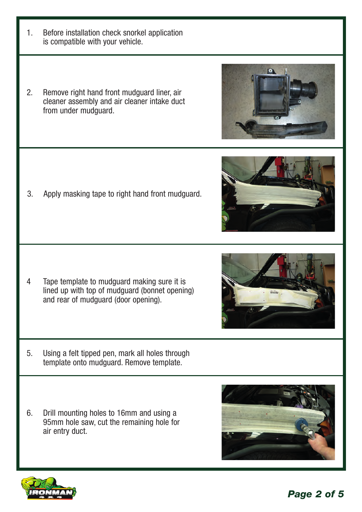*Page 2 of 5*

- 1. Before installation check snorkel application is compatible with your vehicle.
- 2. Remove right hand front mudguard liner, air cleaner assembly and air cleaner intake duct from under mudguard.

3. Apply masking tape to right hand front mudguard.

- 4 Tape template to mudguard making sure it is lined up with top of mudguard (bonnet opening) and rear of mudguard (door opening).
- 5. Using a felt tipped pen, mark all holes through template onto mudguard. Remove template.
- 6. Drill mounting holes to 16mm and using a 95mm hole saw, cut the remaining hole for air entry duct.







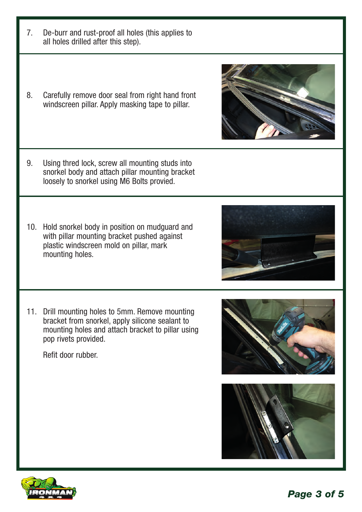8. Carefully remove door seal from right hand front windscreen pillar. Apply masking tape to pillar.

7. De-burr and rust-proof all holes (this applies to

all holes drilled after this step).

- 9. Using thred lock, screw all mounting studs into snorkel body and attach pillar mounting bracket loosely to snorkel using M6 Bolts provied.
- 10. Hold snorkel body in position on mudguard and with pillar mounting bracket pushed against plastic windscreen mold on pillar, mark mounting holes.
- 11. Drill mounting holes to 5mm. Remove mounting bracket from snorkel, apply silicone sealant to mounting holes and attach bracket to pillar using pop rivets provided.

Refit door rubber.









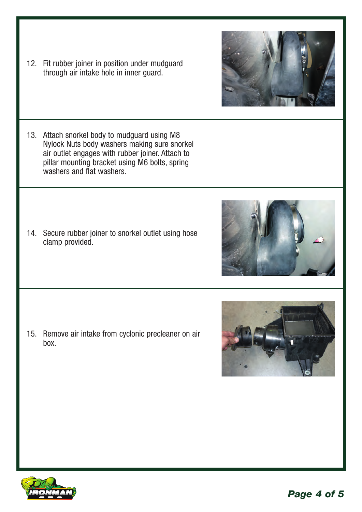12. Fit rubber joiner in position under mudguard through air intake hole in inner guard.

13. Attach snorkel body to mudguard using M8 Nylock Nuts body washers making sure snorkel air outlet engages with rubber joiner. Attach to pillar mounting bracket using M6 bolts, spring washers and flat washers.

14. Secure rubber joiner to snorkel outlet using hose clamp provided.

15. Remove air intake from cyclonic precleaner on air box.